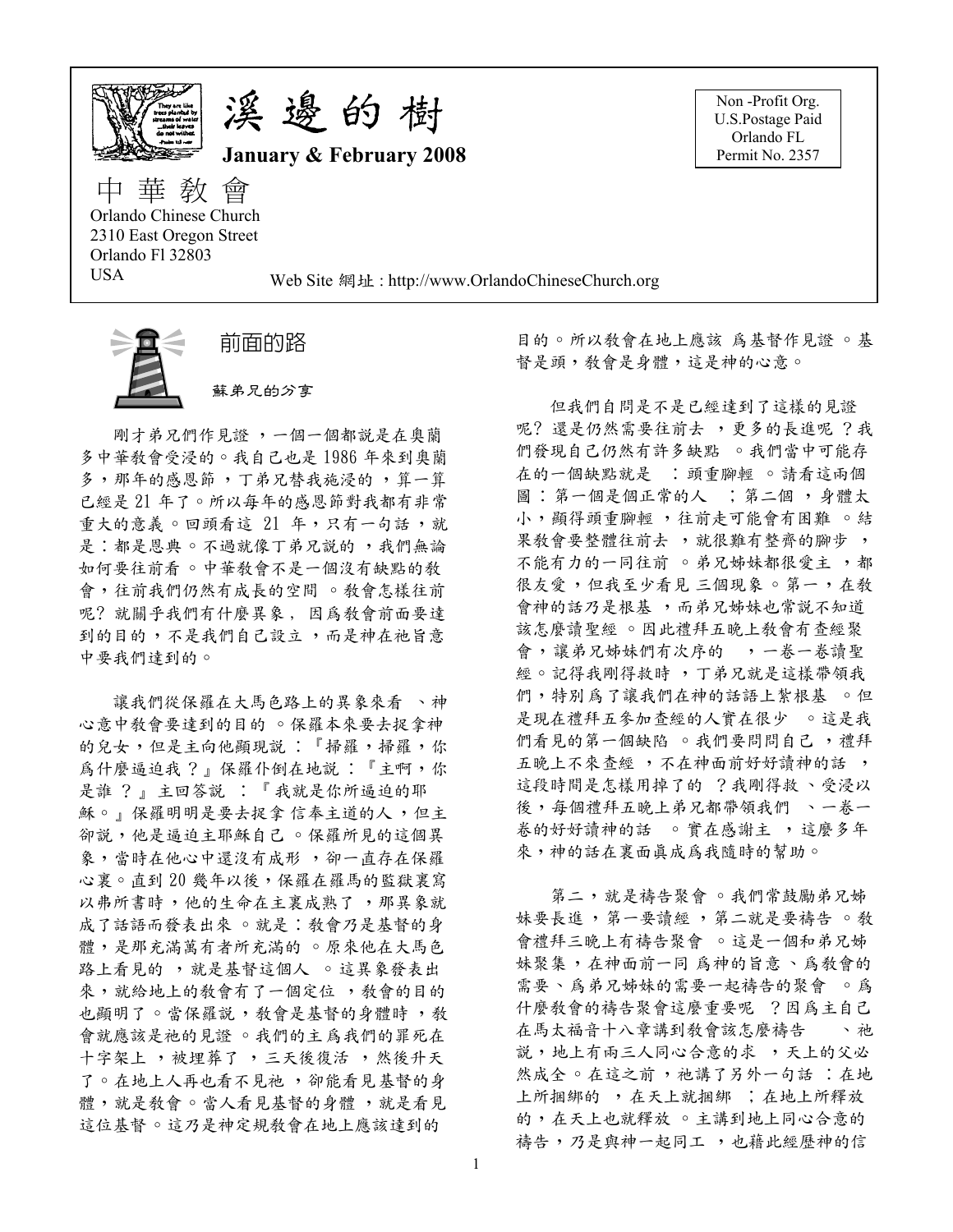

溪邊的樹

January & February 2008

Non-Profit Org. U.S.Postage Paid Orlando FL Permit No. 2357

中 華 敎 會 Orlando Chinese Church 2310 East Oregon Street Orlando Fl 32803 USA

Web Site 網址: http://www.OrlandoChineseChurch.org



前面的路

蘇弟兄的分享

剛才弟兄們作見證,一個一個都說是在奧蘭 多中華敎會受浸的。我自己也是1986年來到奧蘭 多,那年的感恩節,丁弟兄替我施浸的,算一算 已經是 21 年了。所以每年的感恩節對我都有非常 重大的意義。回頭看這 21 年,只有一句話,就 是:都是恩典。不過就像丁弟兄說的,我們無論 如何要往前看。中華敎會不是一個沒有缺點的敎 會,往前我們仍然有成長的空間 。 教會怎樣往前 呢? 就關乎我們有什麼異象, 因為教會前面要達 到的目的,不是我們自己設立,而是神在祂旨意 中要我們達到的。

讓我們從保羅在大馬色路上的異象來看 、神 心意中教會要達到的目的 。保羅本來要去捉拿神 的兒女,但是主向他顯現說:『掃羅,掃羅,你 為什麼逼迫我?』保羅仆倒在地說:『主啊,你 是誰 ?』主回答說 : 『我就是你所逼迫的耶 穌。』保羅明明是要去捉拿信奉主道的人,但主 卻說,他是逼迫主耶穌自己。保羅所見的這個異 象,當時在他心中還沒有成形,卻一直存在保羅 心裏。直到20幾年以後,保羅在羅馬的監獄裏寫 以弗所書時,他的生命在主裏成熟了,那異象就 成了話語而發表出來 。就是: 教會乃是基督的身 體,是那充滿萬有者所充滿的 。原來他在大馬色 路上看見的,就是基督這個人。這異象發表出 來, 就給地上的敎會有了一個定位, 教會的目的 也顯明了。當保羅說, 教會是基督的身體時, 教 會就應該是祂的見證 。我們的主為我們的罪死在 十字架上, 被埋葬了, 三天後復活, 然後升天 了。在地上人再也看不見祂, 卻能看見基督的身 體,就是敎會。當人看見基督的身體,就是看見 這位基督。這乃是神定規敎會在地上應該達到的

目的。所以敎會在地上應該 爲基督作見證 。基 督是頭, 教會是身體, 這是神的心意。

但我們自問是不是已經達到了這樣的見證 呢? 還是仍然需要往前去,更多的長進呢?我 們發現自己仍然有許多缺點 。我們當中可能存 在的一個缺點就是 :頭重腳輕 。請看這兩個 圖: 第一個是個正常的人 ; 第二個, 身體太 小,顯得頭重腳輕,往前走可能會有困難。結 果教會要整體往前去,就很難有整齊的腳步, 不能有力的一同往前 。弟兄姊妹都很愛主,都 很友愛,但我至少看見三個現象。第一,在教 會神的話乃是根基,而弟兄姊妹也常說不知道 該怎麼讀聖經 。因此禮拜五晚上敎會有查經聚 會,讓弟兄姊妹們有次序的,一卷一卷讀聖 經。記得我剛得救時,丁弟兄就是這樣帶領我 們,特別為了讓我們在神的話語上紮根基 。但 是現在禮拜五參加查經的人實在很少 。這是我 們看見的第一個缺陷 。我們要問問自己,禮拜 五晚上不來查經,不在神面前好好讀神的話, 這段時間是怎樣用掉了的 ?我剛得救、受浸以 後,每個禮拜五晚上弟兄都帶領我們 、一卷一 卷的好好讀神的話 。實在感謝主,這麼多年 來,神的話在裏面眞成爲我隨時的幫助。

第二,就是禱告聚會。我們常鼓勵弟兄姊 妹要長進,第一要讀經,第二就是要禱告。教 會禮拜三晚上有禱告聚會 。這是一個和弟兄姊 妹聚集,在神面前一同 為神的旨意、為教會的 需要、爲弟兄姊妹的需要一起禱告的聚會 。爲 什麼敎會的禱告聚會這麼重要呢?因為主自己 在馬太福音十八章講到敎會該怎麼禱告》入祂 說, 地上有兩三人同心合意的求, 天上的父必 然成全 。 在這之前, 祂講了另外一句話: 在地 上所捆绑的 , 在天上就捆绑 ; 在地上所釋放 的,在天上也就釋放 。主講到地上同心合意的 禱告,乃是與神一起同工,也藉此經歷神的信

-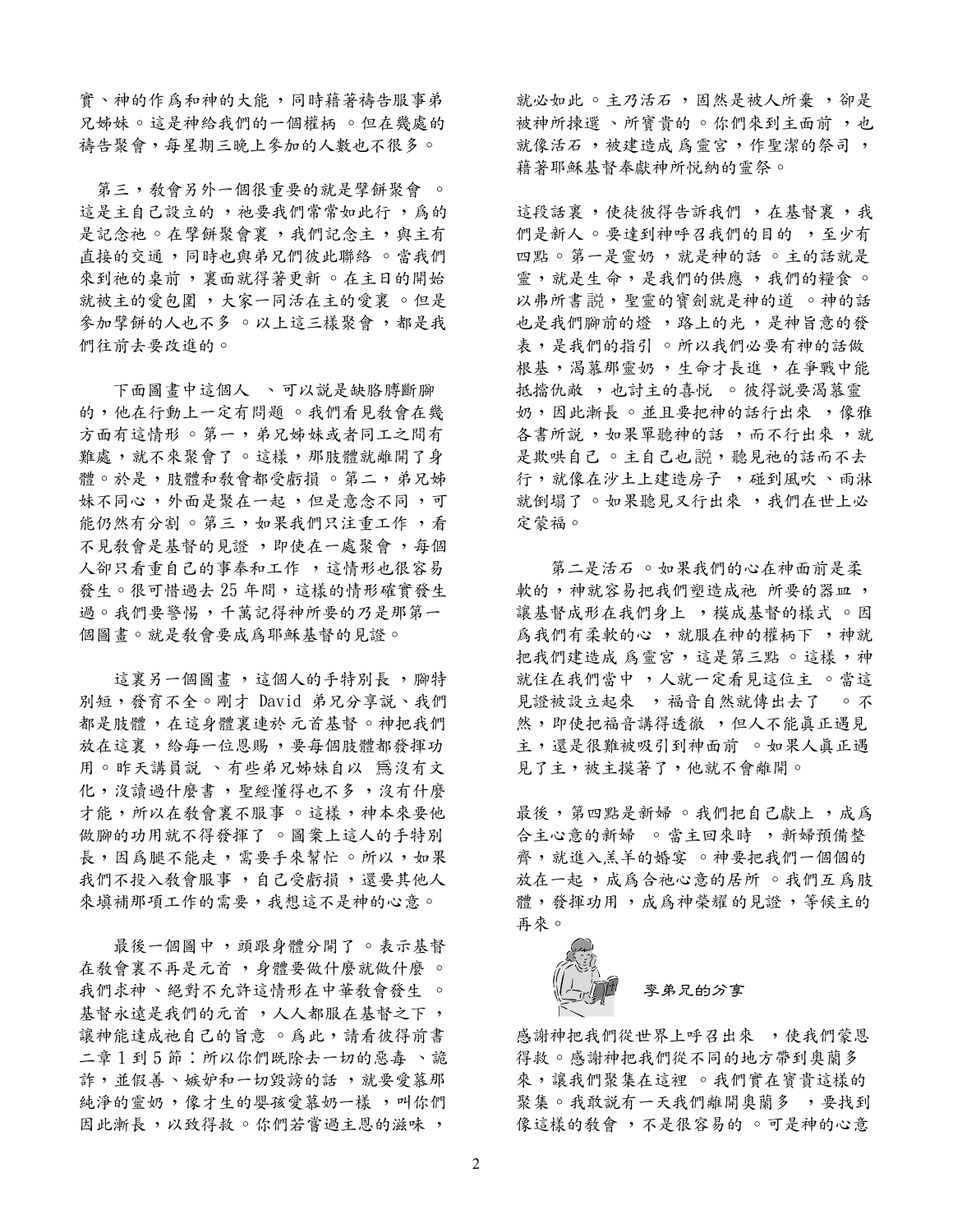實、神的作爲和神的大能,同時藉著禱告服事弟 兄姊妹。這是神給我們的一個權柄 。但在幾處的 禱告聚會,每星期三晚上參加的人數也不很多。

第三, 教會另外一個很重要的就是擘餅聚會 。 這是主自己設立的, 祂要我們常常如此行, 為的 是記念祂 。在擘餅聚會裏,我們記念主,與主有 直接的交通,同時也與弟兄們彼此聯絡。當我們 來到祂的桌前,裏面就得著更新。在主日的開始 就被主的愛包圍,大家一同活在主的愛裏 。但是 參加擘餅的人也不多 ○ 以上這三樣聚會, 都是我 們往前去要改進的。

下面圖書中這個人 丶可以說是缺胳膊斷腳 的,他在行動上一定有問題 。我們看見教會在幾 方面有這情形。第一,弟兄姊妹或者同工之間有 難處,就不來聚會了。這樣,那肢體就離開了身 體。於是,肢體和敎會都受虧損。第二,弟兄姊 妹不同心,外面是聚在一起,但是意念不同,可 能仍然有分割。第三,如果我們只注重工作,看 不見敎會是基督的見證,即使在一處聚會,每個 人卻只看重自己的事奉和工作,這情形也很容易 發生。很可惜過去25年間,這樣的情形確實發生 過。我們要警惕,千萬記得神所要的乃是那第一 個圖畫。就是敎會要成爲耶穌基督的見證。

這裏另一個圖畫,這個人的手特別長,腳特 別短,發育不全。剛才 David 弟兄分享説、我們 都是肢體,在這身體裏連於元首基督。神把我們 放在這裏,給每一位恩賜,要每個肢體都發揮功 用。昨天講員説、有些弟兄姊妹自以 爲沒有文 化,沒讀過什麼書, 聖經懂得也不多, 沒有什麼 才能,所以在教會裏不服事。這樣,神本來要他 做腳的功用就不得發揮了 。圖案上這人的手特別 長,因爲腿不能走,需要手來幫忙。所以,如果 我們不投入教會服事,自己受虧損,還要其他人 來填補那項工作的需要,我想這不是神的心意。

最後一個圖中,頭跟身體分開了。表示基督 在教會裏不再是元首,身體要做什麼就做什麼。 我們求神、絕對不允許這情形在中華敎會發生 。 基督永遠是我們的元首,人人都服在基督之下, 讓神能達成祂自己的旨意 。為此,請看彼得前書 二章1到5節:所以你們既除去一切的惡毒 、詭 詐,並假善、嫉妒和一切毀謗的話,就要愛慕那 純淨的靈奶,像才生的嬰孩愛慕奶一樣,叫你們 因此漸長,以致得救。你們若嘗過主恩的滋味,

就必如此。主乃活石, 固然是被人所棄, 卻是 被神所揀選 、所窨貴的 。 你們來到主面前 , 也 就像活石,被建造成爲靈宮,作聖潔的祭司, 藉著耶穌基督奉獻神所悦納的靈祭。

這段話裏,使徒彼得告訴我們,在基督裏,我 們是新人。要達到神呼召我們的目的,至少有 四點。第一是靈奶,就是神的話。主的話就是 靈,就是生命,是我們的供應,我們的糧食。 以弗所書說, 聖靈的寶劍就是神的道。神的話 也是我們腳前的燈, 路上的光, 是神旨意的發 表,是我們的指引。所以我們必要有神的話做 根基,渴慕那靈奶,生命才長進,在爭戰中能 抵擋仇敵,,也討主的喜悦 。彼得說要渴慕靈 奶,因此漸長。並且要把神的話行出來,像雅 各書所説, 如果單聽神的話, 而不行出來, 就 是欺哄自己。主自己也說,聽見祂的話而不去 行, 就像在沙土上建造房子, 碰到風吹、雨淋 就倒塌了。如果聽見又行出來,我們在世上必 定蒙福。

第二是活石 。如果我們的心在神面前是柔 軟的, 神就容易把我們塑造成祂 所要的器皿, 讓基督成形在我們身上,模成基督的樣式。因 為我們有柔軟的心,就服在神的權柄下,神就 把我們建造成 為靈宮,這是第三點。這樣,神 就住在我們當中,人就一定看見這位主 。當這 見證被設立起來, 福音自然就傳出去了。不 然,即使把福音講得透徹,,但人不能真正遇見 主,還是很難被吸引到神面前 。如果人真正遇 見了主,被主摸著了,他就不會離開。

最後,第四點是新婦。我們把自己獻上,成為 合主心意的新婦 。當主回來時 , 新婦預備整 齊, 就進入羔羊的婚宴 。神要把我們一個個的 放在一起,成爲合祂心意的居所 。我們互爲肢 體,發揮功用,成為神榮耀的見證,等候主的 再來。



孪弟兄的分享

感謝神把我們從世界上呼召出來,,使我們蒙恩 得救。感謝神把我們從不同的地方帶到奧蘭多 來,讓我們聚集在這裡 。我們實在寶貴這樣的 聚集。我敢說有一天我們離開奧蘭多, 要找到 像這樣的敎會,不是很容易的。可是神的心意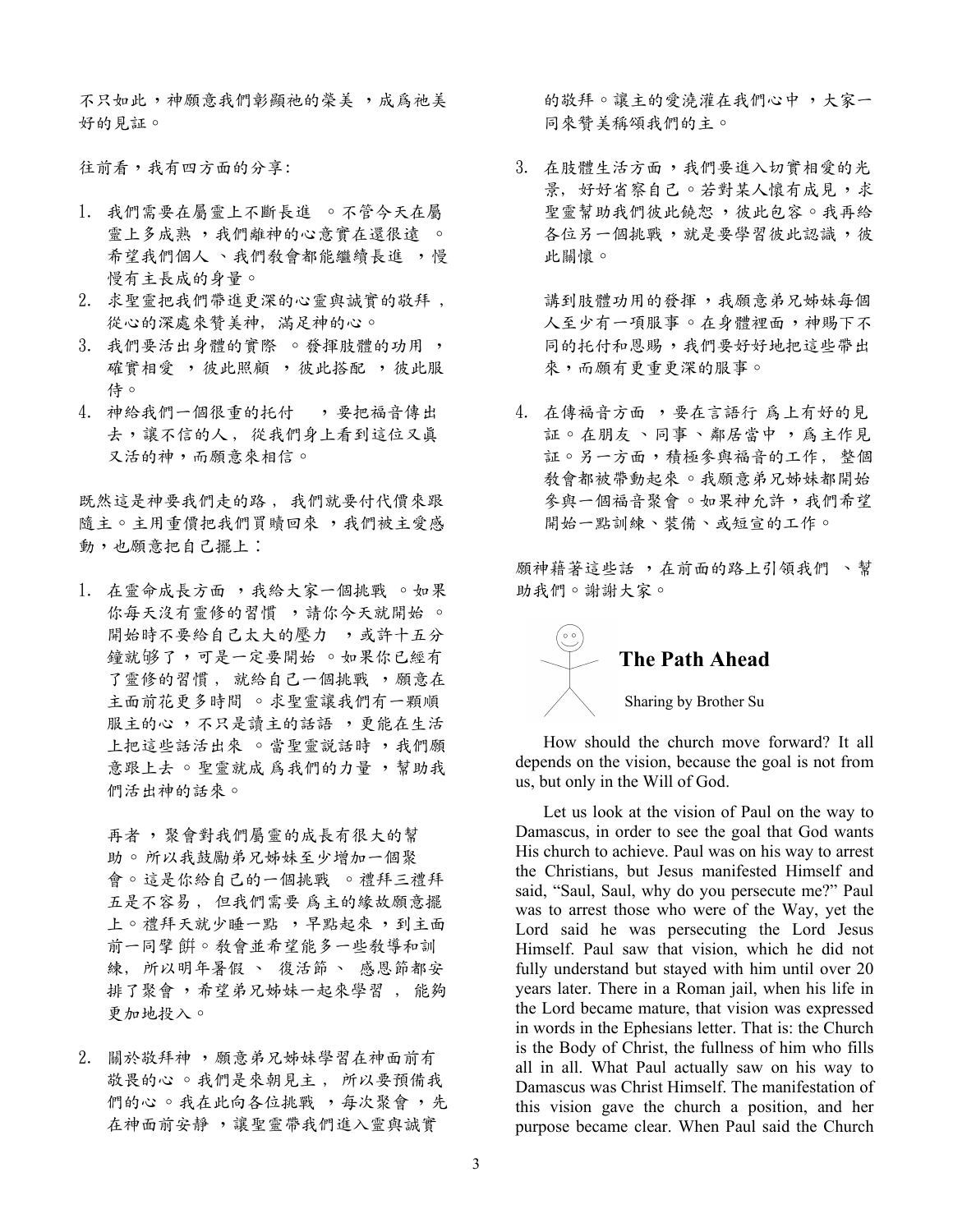不只如此,神願意我們彰顯祂的榮美,成爲祂美 好的見証。

往前看,我有四方面的分享:

- 1. 我們需要在屬靈上不斷長進 。不管今天在屬 靈上多成熟,我們離神的心意實在還很遠。 希望我們個人、我們教會都能繼續長進,慢 慢有主長成的身量。
- 2. 求聖靈把我們帶進更深的心靈與誠實的敬拜, 從心的深處來贊美神,滿足神的心。
- 3. 我們要活出身體的實際 。發揮肢體的功用, 確實相愛, 彼此照顧, 彼此搭配, 彼此服 侍。
- 4. 神給我們一個很重的托付 , 要把福音傳出 去,讓不信的人,從我們身上看到這位又真 又活的神,而願意來相信。

既然這是神要我們走的路, 我們就要付代價來跟 隨主。主用重價把我們買贖回來,我們被主愛感 動,也願意把自己擺上:

1. 在靈命成長方面,我給大家一個挑戰。如果 你每天沒有靈修的習慣, 請你今天就開始。 開始時不要給自己太大的壓力,或許十五分 鐘就够了,可是一定要開始 。如果你已經有 了靈修的習慣, 就給自己一個挑戰, 頗意在 主面前花更多時間 。求聖靈讓我們有一顆順 服主的心,不只是讀主的話語,更能在生活 上把這些話活出來 。當聖靈說話時,我們願 意跟上去 。聖靈就成 為我們的力量,幫助我 們活出神的話來。

再者, 聚會對我們屬靈的成長有很大的幫 助。所以我鼓勵弟兄姊妹至少增加一個聚 會。這是你給自己的一個挑戰 。禮拜三禮拜 五是不容易, 但我們需要 為主的緣故願意擺 上。禮拜天就少睡一點,早點起來,到主面 前一同擘餅。教會並希望能多一些教導和訓 練, 所以明年暑假、復活節、 感恩節都安 排了聚會,希望弟兄姊妹一起來學習,能夠 更加地投入。

2. 關於敬拜神,願意弟兄姊妹學習在神面前有 故畏的心 。我們是來朝見主, 所以要預備我 們的心。我在此向各位挑戰,每次聚會,先 在神面前安靜,讓聖靈帶我們進入靈與誠實

的敬拜。讓主的愛澆灌在我們心中,大家一 同來贊美稱頌我們的主。

3. 在肢體生活方面,我們要進入切實相愛的光 景, 好好省察自己。若對某人懷有成見,求 聖靈幫助我們彼此饒恕,彼此包容。我再給 各位另一個挑戰,就是要學習彼此認識,彼 此關懷。

講到肢體功用的發揮,我願意弟兄姊妹每個 人至少有一項服事。在身體裡面,神賜下不 同的托付和恩賜,我們要好好地把這些帶出 來,而願有更重更深的服事。

4. 在傳福音方面,要在言語行 為上有好的見 証。在朋友、同事、鄰居當中,為主作見 証。另一方面,積極參與福音的工作,整個 教會都被帶動起來。我願意弟兄姊妹都開始 參與一個福音聚會 。如果神允許,我們希望 開始一點訓練、裝備、或短宣的工作。

願神藉著這些話,在前面的路上引領我們 、幫 助我們。謝謝大家。

## The Path Ahead Sharing by Brother Su

How should the church move forward? It all depends on the vision, because the goal is not from us, but only in the Will of God.

Let us look at the vision of Paul on the way to Damascus, in order to see the goal that God wants His church to achieve. Paul was on his way to arrest the Christians, but Jesus manifested Himself and said, "Saul, Saul, why do you persecute me?" Paul was to arrest those who were of the Way, yet the Lord said he was persecuting the Lord Jesus Himself. Paul saw that vision, which he did not fully understand but stayed with him until over 20 years later. There in a Roman jail, when his life in the Lord became mature, that vision was expressed in words in the Ephesians letter. That is: the Church is the Body of Christ, the fullness of him who fills all in all. What Paul actually saw on his way to Damascus was Christ Himself. The manifestation of this vision gave the church a position, and her purpose became clear. When Paul said the Church